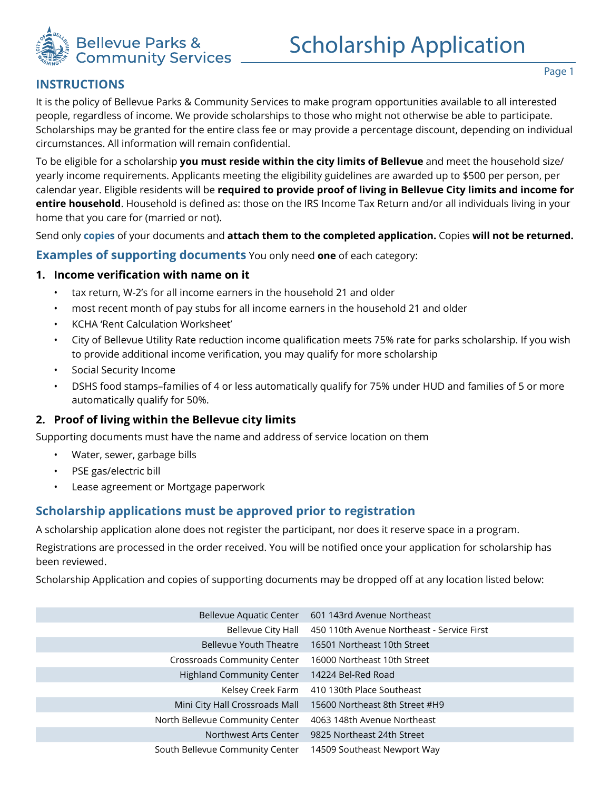

## **INSTRUCTIONS**

To be eligible for a scholarship **you must reside within the city limits of Bellevue** and meet the household size/ yearly income requirements. Applicants meeting the eligibility guidelines are awarded up to \$500 per person, per calendar year. Eligible residents will be **required to provide proof of living in Bellevue City limits and income for entire household**. Household is defined as: those on the IRS Income Tax Return and/or all individuals living in your home that you care for (married or not).

Send only **copies** of your documents and **attach them to the completed application.** Copies **will not be returned.** 

**Examples of supporting documents** You only need **one** of each category:

### **1. Income verification with name on it**

- tax return, W-2's for all income earners in the household 21 and older
- most recent month of pay stubs for all income earners in the household 21 and older
- KCHA 'Rent Calculation Worksheet'
- City of Bellevue Utility Rate reduction income qualification meets 75% rate for parks scholarship. If you wish to provide additional income verification, you may qualify for more scholarship
- Social Security Income
- DSHS food stamps–families of 4 or less automatically qualify for 75% under HUD and families of 5 or more automatically qualify for 50%.

## **2. Proof of living within the Bellevue city limits**

Supporting documents must have the name and address of service location on them

- Water, sewer, garbage bills
- PSE gas/electric bill
- Lease agreement or Mortgage paperwork

# **Scholarship applications must be approved prior to registration**

A scholarship application alone does not register the participant, nor does it reserve space in a program.

Registrations are processed in the order received. You will be notified once your application for scholarship has been reviewed.

Scholarship Application and copies of supporting documents may be dropped off at any location listed below:

| Bellevue Aquatic Center          | 601 143rd Avenue Northeast                 |
|----------------------------------|--------------------------------------------|
| Bellevue City Hall               | 450 110th Avenue Northeast - Service First |
| <b>Bellevue Youth Theatre</b>    | 16501 Northeast 10th Street                |
| Crossroads Community Center      | 16000 Northeast 10th Street                |
| <b>Highland Community Center</b> | 14224 Bel-Red Road                         |
| Kelsey Creek Farm                | 410 130th Place Southeast                  |
| Mini City Hall Crossroads Mall   | 15600 Northeast 8th Street #H9             |
| North Bellevue Community Center  | 4063 148th Avenue Northeast                |
| Northwest Arts Center            | 9825 Northeast 24th Street                 |
| South Bellevue Community Center  | 14509 Southeast Newport Way                |